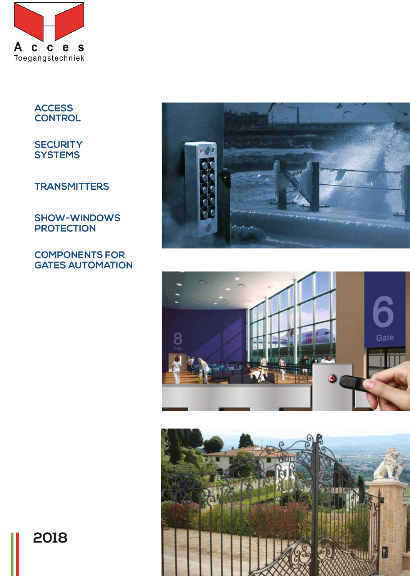

### **ACCESS CONTROL**

**SECURITY SYSTEMS**

**TRANSMITTERS**

### **SHOW-WINDOWS PROTECTION**

**COMPONENTS FOR GATES AUTOMATION**







**2018**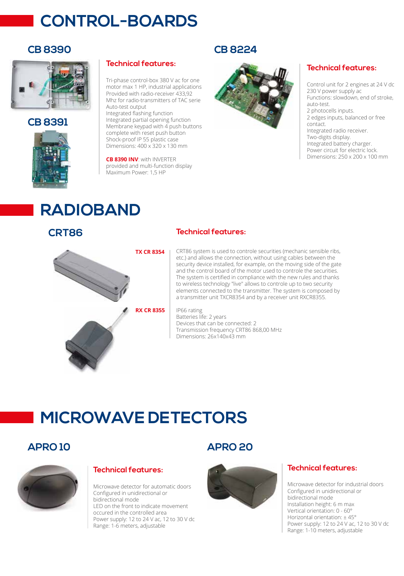# **CONTROL-BOARDS**

### **CB 8390 CB 8224**



### **CB 8391**



### **Technical features:**

Tri-phase control-box 380 V ac for one motor max 1 HP, industrial applications Provided with radio-receiver 433,92 Mhz for radio-transmitters of TAC serie Auto-test output Integrated flashing function Integrated partial opening function Membrane keypad with 4 push buttons complete with reset push button Shock-proof IP 55 plastic case

**CB 8390 INV**: with INVERTER provided and multi-function display Maximum Power: 1,5 HP

Dimensions: 400 x 320 x 130 mm



### **Technical features:**

Control unit for 2 engines at 24 V dc 230 V power supply ac Functions: slowdown, end of stroke, auto-test. 2 photocells inputs. 2 edges inputs, balanced or free contact. Integrated radio receiver. Two-digits display. Integrated battery charger. Power circuit for electric lock. Dimensions: 250 x 200 x 100 mm

# **RADIOBAND**

### **CRT86**



### **Technical features:**

CRT86 system is used to controle securities (mechanic sensible ribs, etc.) and allows the connection, without using cables between the security device installed, for example, on the moving side of the gate and the control board of the motor used to controle the securities. The system is certified in compliance with the new rules and thanks to wireless technology "live" allows to controle up to two security elements connected to the transmitter. The system is composed by a transmitter unit TXCR8354 and by a receiver unit RXCR8355.

IP66 rating Batteries life: 2 years Devices that can be connected: 2 Transmission frequency CRT86 868,00 MHz Dimensions: 26x140x43 mm

# **MICROWAVE DETECTORS**



### **Technical features:**

Microwave detector for automatic doors Configured in unidirectional or bidirectional mode LED on the front to indicate movement occured in the controlled area Power supply: 12 to 24 V ac, 12 to 30 V dc Range: 1-6 meters, adjustable

### **APRO 10 APRO 20**



### **Technical features:**

Microwave detector for industrial doors Configured in unidirectional or bidirectional mode Installation height: 6 m max Vertical orientation: 0 - 60° Horizontal orientation: ± 45° Power supply: 12 to 24 V ac, 12 to 30 V dc Range: 1-10 meters, adjustable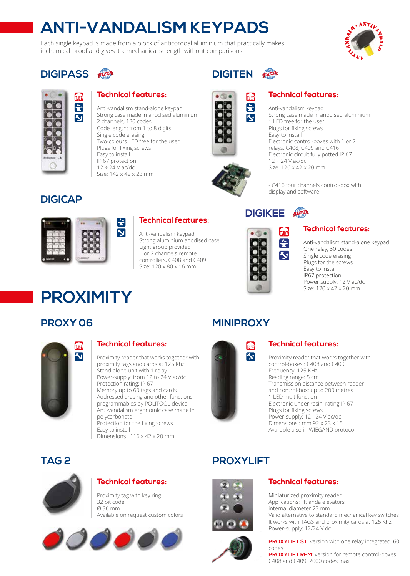# **ANTI-VANDALISM KEYPADS**

Each single keypad is made from a block of anticorodal aluminium that practically makes it chemical-proof and gives it a mechanical strength without comparisons.





### **DIGIPASS SYENES**

**Technical features:**

Anti-vandalism stand-alone keypad Strong case made in anodised aluminium 2 channels, 120 codes Code length: from 1 to 8 digits Single code erasing Two-colours LED free for the user Plugs for fixing screws Easy to install IP 67 protection  $12 \div 24$  V ac/dc Size: 142 x 42 x 23 mm







### **Technical features:**

Anti-vandalism keypad Strong case made in anodised aluminium 1 LED free for the user Plugs for fixing screws Easy to install Electronic control-boxes with 1 or 2 relays: C408, C409 and C416 Electronic circuit fully potted IP 67 12 ÷ 24 V ac/dc Size: 126 x 42 x 20 mm

- C416 four channels control-box with display and software

## **DIGICAP**



### **Technical features:**

Anti-vandalism keypad Strong aluminium anodised case Light group provided 1 or 2 channels remote controllers, C408 and C409 Size: 120 x 80 x 16 mm





### **Technical features:**

Anti-vandalism stand-alone keypad One relay, 30 codes Single code erasing Plugs for the screws Easy to install IP67 protection Power supply: 12 V ac/dc Size: 120 x 42 x 20 mm

# **PROXIMITY**

# **PROXY 06**



### **Technical features:**

Proximity reader that works together with proximity tags and cards at 125 Khz Stand-alone unit with 1 relay Power-supply: from 12 to 24 V ac/dc Protection rating: IP 67 Memory up to 60 tags and cards Addressed erasing and other functions programmables by POLITOOL device Anti-vandalism ergonomic case made in polycarbonate Protection for the fixing screws Easy to install Dimensions : 116 x 42 x 20 mm

# **MINIPROXY**



### **Technical features:**

Proximity reader that works together with control-boxes : C408 and C409 Frequency: 125 KHz Reading range: 5 cm Transmission distance between reader and control-box: up to 200 metres 1 LED multifunction Electronic under resin, rating IP 67 Plugs for fixing screws Power-supply: 12 - 24 V ac/dc Dimensions : mm 92 x 23 x 15 Available also in WIEGAND protocol

## **TAG 2**



#### **Technical features:**

Proximity tag with key ring 32 bit code Ø 36 mm Available on request custom colors



# **PROXYLIFT**





### **Technical features:**

Miniaturized proximity reader Applications: lift anda elevators internal diameter 23 mm Valid alternative to standard mechanical key switches It works with TAGS and proximity cards at 125 Khz Power-supply: 12/24 V dc

**PROXYLIFT ST**: version with one relay integrated, 60 codes

**PROXYLIFT REM**: version for remote control-boxes C408 and C409. 2000 codes max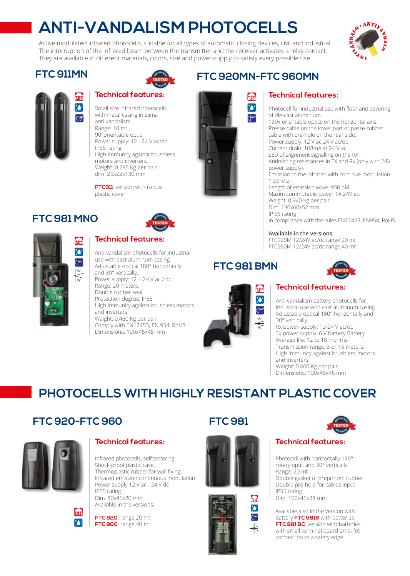# **ANTI-VANDALISM PHOTOCELLS**

Active modulated infrared photocells, suitable for all types of automatic closing devices, civil and industrial. The interruption of the infrared beam between the transmitter and the receiver activates a relay contact. They are available in different materials, colors, size and power-supply to satisfy every possible use.

### **FTC 911MN**



# **Technical features:**

Small size infrared photocells with metal casing in zama anti-vandalism. Range: 10 mt. 90°orientable optic. Power supply: 12 - 24 V ac/dc. IP55 rating. High Immunity against brushless motors and inverters. Weight: 0.295 Kg per pair dim. 25x22x130 mm

**FTC911:** version with robust plastic cover

## **FTC 981 MNO**



### **Technical features:**

Anti-vandalism photocells for industrial use with cast aluminum casing. Adjustable optical 180° horizontally and 30° vertically. Power supply: 12 ÷ 24 V ac / dc Range: 20 meters. Double rubber seal. Protection degree: IP55 High Immunity against brushless motors and inverters. Weight: 0.460 Kg per pair Comply with EN12453, EN 954, RoHS



# **FTC 920MN-FTC 960MN**



### **Technical features:**

Photocell for industrial use with floor and covering of die-cast aluminium. 180x orientable optics on the horizontal axis. Presse-cable on the lower part or passe-rubber cable with pre-hole on the rear side. Power supply: 12 V ac 24 V ac/dc Current drain: 108mA at 24 V ac LED of alignment signalling on the RX Antimisting resistances in TX and Rx (only with 24V power supply). Emission to the infrared with continue modulation: 1,33 Khz. Length of emission wave: 950 nM. Maxim commutable power 1A 24V ac. Weight: 0.940 Kg per pair Dim. 130x60x52 mm IP 55 rating In compliance with the rules EN12453, EN954, RoHS

#### **Available in the versions:**

FTC920M 12/24V ac/dc range 20 mt FTC960M 12/24V ac/dc range 40 mt

## **FTC 981 BMN**



### **Technical features:**

Anti-vandalism battery photocells for industrial use with cast aluminum casing. Adjustable optical 180° horizontally and 30° vertically. Rx power-supply: 12/24 V ac/dc Tx power-supply: 6 V battery Battery. Avarage life: 12 to 18 months. Transmission range: 8 or 15 meters. High Immunity against brushless motors and inverters. Weight: 0.460 Kg per pair Dimensions: 100x45x45 mm

# **PHOTOCELLS WITH HIGHLY RESISTANT PLASTIC COVER**

# **FTC 920-FTC 960**

**DBE**  $\cdot$ 



### **Technical features:**

Infrared photocells, selfcentering. Shock-proof plastic case. Thermoplastic rubber for wall fixing. Infrared emission continuous modulation. Power supply 12 V ac - 24 V dc IP55 rating Dim. 80x45x20 mm Available in the versions:

**FTC 920**: range 20 mt **FTC 960**: range 40 mt

# **FTC 981**



### **Technical features:**

Photocell with horizontally 180° rotary optic and 30° vertically Range: 20 mt Double gasket of preprinted rubber Double pre-hole for cables input IP55 rating Dim. 100x45x38 mm

Available also in the version with battery **FTC 981B** with batteries **FTC 981 BC:** version with batteries with small terminal board on tx fot connection to a safety edge